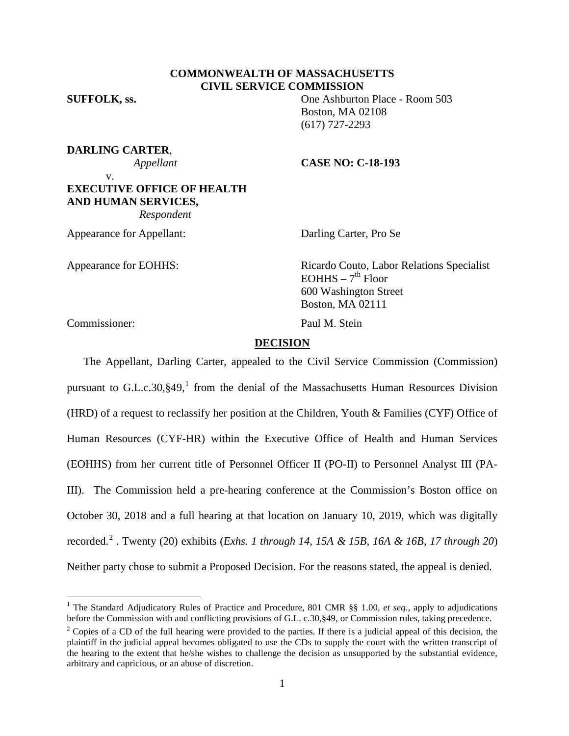# **COMMONWEALTH OF MASSACHUSETTS CIVIL SERVICE COMMISSION**

**SUFFOLK, ss.** One Ashburton Place - Room 503 Boston, MA 02108 (617) 727-2293

# **DARLING CARTER**,

### *Appellant* **CASE NO: C-18-193**

v. **EXECUTIVE OFFICE OF HEALTH AND HUMAN SERVICES,**  *Respondent*

Appearance for Appellant: Darling Carter, Pro Se

Appearance for EOHHS: Ricardo Couto, Labor Relations Specialist  $EOHHS - 7<sup>th</sup>$  Floor 600 Washington Street Boston, MA 02111

Commissioner: Paul M. Stein

### **DECISION**

The Appellant, Darling Carter, appealed to the Civil Service Commission (Commission) pursuant to G.L.c.30, §49,<sup>[1](#page-0-0)</sup> from the denial of the Massachusetts Human Resources Division (HRD) of a request to reclassify her position at the Children, Youth & Families (CYF) Office of Human Resources (CYF-HR) within the Executive Office of Health and Human Services (EOHHS) from her current title of Personnel Officer II (PO-II) to Personnel Analyst III (PA-III). The Commission held a pre-hearing conference at the Commission's Boston office on October 30, 2018 and a full hearing at that location on January 10, 2019, which was digitally recorded. [2](#page-0-1) . Twenty (20) exhibits (*Exhs. 1 through 14, 15A & 15B, 16A & 16B, 17 through 20*) Neither party chose to submit a Proposed Decision. For the reasons stated, the appeal is denied.

<span id="page-0-0"></span><sup>&</sup>lt;sup>1</sup> The Standard Adjudicatory Rules of Practice and Procedure, 801 CMR §§ 1.00, *et seq.*, apply to adjudications before the Commission with and conflicting provisions of G.L. c.30, §49, or Commission rules, taking precede

<span id="page-0-1"></span> $\frac{2}{3}$  Copies of a CD of the full hearing were provided to the parties. If there is a judicial appeal of this decision, the plaintiff in the judicial appeal becomes obligated to use the CDs to supply the court with the written transcript of the hearing to the extent that he/she wishes to challenge the decision as unsupported by the substantial evidence, arbitrary and capricious, or an abuse of discretion.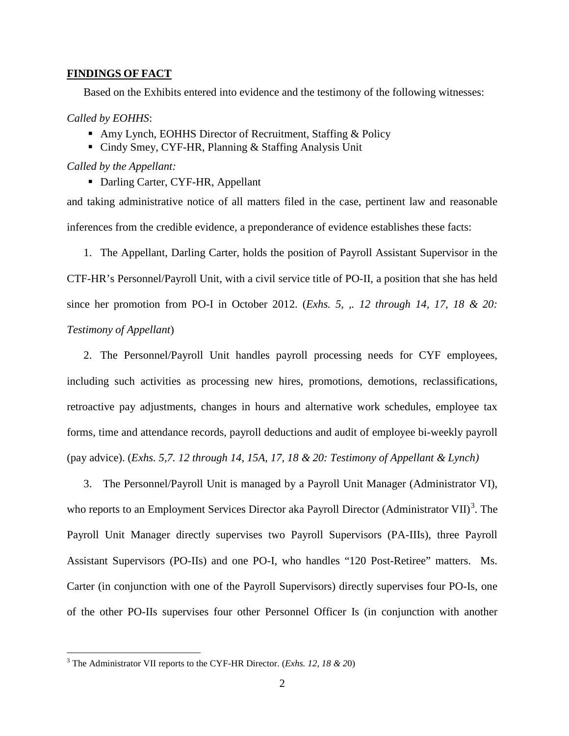### **FINDINGS OF FACT**

Based on the Exhibits entered into evidence and the testimony of the following witnesses:

# *Called by EOHHS*:

- Amy Lynch, EOHHS Director of Recruitment, Staffing & Policy
- Cindy Smey, CYF-HR, Planning & Staffing Analysis Unit

*Called by the Appellant:*

• Darling Carter, CYF-HR, Appellant

and taking administrative notice of all matters filed in the case, pertinent law and reasonable inferences from the credible evidence, a preponderance of evidence establishes these facts:

1. The Appellant, Darling Carter, holds the position of Payroll Assistant Supervisor in the CTF-HR's Personnel/Payroll Unit, with a civil service title of PO-II, a position that she has held since her promotion from PO-I in October 2012. (*Exhs. 5, ,. 12 through 14, 17, 18 & 20: Testimony of Appellant*)

2. The Personnel/Payroll Unit handles payroll processing needs for CYF employees, including such activities as processing new hires, promotions, demotions, reclassifications, retroactive pay adjustments, changes in hours and alternative work schedules, employee tax forms, time and attendance records, payroll deductions and audit of employee bi-weekly payroll (pay advice). (*Exhs. 5,7. 12 through 14, 15A, 17, 18 & 20: Testimony of Appellant & Lynch)*

3. The Personnel/Payroll Unit is managed by a Payroll Unit Manager (Administrator VI), who reports to an Employment Services Director aka Payroll Director (Administrator VII)<sup>[3](#page-1-0)</sup>. The Payroll Unit Manager directly supervises two Payroll Supervisors (PA-IIIs), three Payroll Assistant Supervisors (PO-IIs) and one PO-I, who handles "120 Post-Retiree" matters. Ms. Carter (in conjunction with one of the Payroll Supervisors) directly supervises four PO-Is, one of the other PO-IIs supervises four other Personnel Officer Is (in conjunction with another

<span id="page-1-0"></span> <sup>3</sup> The Administrator VII reports to the CYF-HR Director. (*Exhs. 12, 18 & 2*0)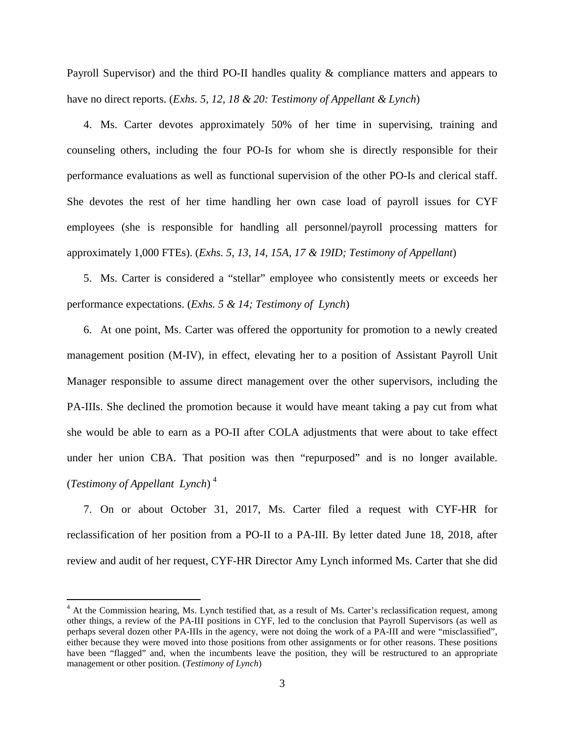Payroll Supervisor) and the third PO-II handles quality & compliance matters and appears to have no direct reports. (*Exhs. 5, 12, 18 & 20: Testimony of Appellant & Lynch*)

4. Ms. Carter devotes approximately 50% of her time in supervising, training and counseling others, including the four PO-Is for whom she is directly responsible for their performance evaluations as well as functional supervision of the other PO-Is and clerical staff. She devotes the rest of her time handling her own case load of payroll issues for CYF employees (she is responsible for handling all personnel/payroll processing matters for approximately 1,000 FTEs). (*Exhs. 5, 13, 14, 15A, 17 & 19ID; Testimony of Appellant*)

5. Ms. Carter is considered a "stellar" employee who consistently meets or exceeds her performance expectations. (*Exhs. 5 & 14; Testimony of Lynch*)

6. At one point, Ms. Carter was offered the opportunity for promotion to a newly created management position (M-IV), in effect, elevating her to a position of Assistant Payroll Unit Manager responsible to assume direct management over the other supervisors, including the PA-IIIs. She declined the promotion because it would have meant taking a pay cut from what she would be able to earn as a PO-II after COLA adjustments that were about to take effect under her union CBA. That position was then "repurposed" and is no longer available. (*Testimony of Appellant Lynch*) [4](#page-2-0)

7. On or about October 31, 2017, Ms. Carter filed a request with CYF-HR for reclassification of her position from a PO-II to a PA-III. By letter dated June 18, 2018, after review and audit of her request, CYF-HR Director Amy Lynch informed Ms. Carter that she did

<span id="page-2-0"></span><sup>&</sup>lt;sup>4</sup> At the Commission hearing, Ms. Lynch testified that, as a result of Ms. Carter's reclassification request, among other things, a review of the PA-III positions in CYF, led to the conclusion that Payroll Supervisors (as well as perhaps several dozen other PA-IIIs in the agency, were not doing the work of a PA-III and were "misclassified", either because they were moved into those positions from other assignments or for other reasons. These positions have been "flagged" and, when the incumbents leave the position, they will be restructured to an appropriate management or other position. (*Testimony of Lynch*)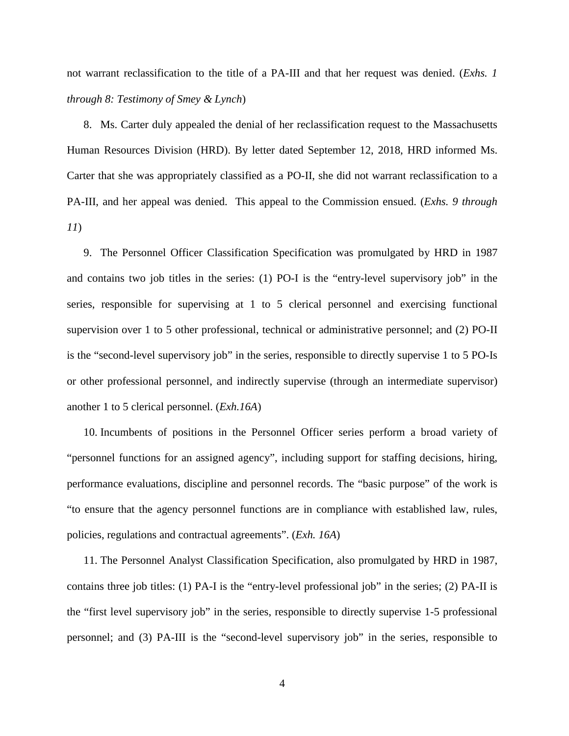not warrant reclassification to the title of a PA-III and that her request was denied. (*Exhs. 1 through 8: Testimony of Smey & Lynch*)

8. Ms. Carter duly appealed the denial of her reclassification request to the Massachusetts Human Resources Division (HRD). By letter dated September 12, 2018, HRD informed Ms. Carter that she was appropriately classified as a PO-II, she did not warrant reclassification to a PA-III, and her appeal was denied. This appeal to the Commission ensued. (*Exhs. 9 through 11*)

9. The Personnel Officer Classification Specification was promulgated by HRD in 1987 and contains two job titles in the series: (1) PO-I is the "entry-level supervisory job" in the series, responsible for supervising at 1 to 5 clerical personnel and exercising functional supervision over 1 to 5 other professional, technical or administrative personnel; and (2) PO-II is the "second-level supervisory job" in the series, responsible to directly supervise 1 to 5 PO-Is or other professional personnel, and indirectly supervise (through an intermediate supervisor) another 1 to 5 clerical personnel. (*Exh.16A*)

10. Incumbents of positions in the Personnel Officer series perform a broad variety of "personnel functions for an assigned agency", including support for staffing decisions, hiring, performance evaluations, discipline and personnel records. The "basic purpose" of the work is "to ensure that the agency personnel functions are in compliance with established law, rules, policies, regulations and contractual agreements". (*Exh. 16A*)

11. The Personnel Analyst Classification Specification, also promulgated by HRD in 1987, contains three job titles: (1) PA-I is the "entry-level professional job" in the series; (2) PA-II is the "first level supervisory job" in the series, responsible to directly supervise 1-5 professional personnel; and (3) PA-III is the "second-level supervisory job" in the series, responsible to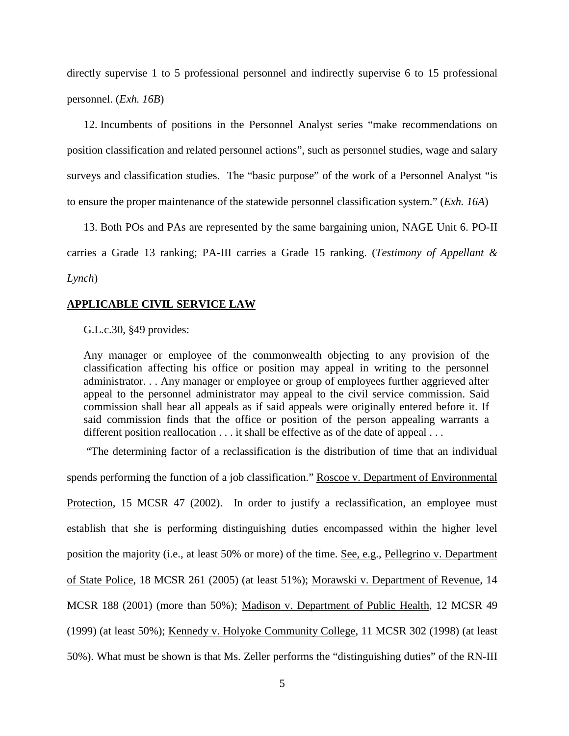directly supervise 1 to 5 professional personnel and indirectly supervise 6 to 15 professional personnel. (*Exh. 16B*)

12. Incumbents of positions in the Personnel Analyst series "make recommendations on position classification and related personnel actions", such as personnel studies, wage and salary surveys and classification studies. The "basic purpose" of the work of a Personnel Analyst "is to ensure the proper maintenance of the statewide personnel classification system." (*Exh. 16A*)

13. Both POs and PAs are represented by the same bargaining union, NAGE Unit 6. PO-II carries a Grade 13 ranking; PA-III carries a Grade 15 ranking. (*Testimony of Appellant & Lynch*)

#### **APPLICABLE CIVIL SERVICE LAW**

G.L.c.30, §49 provides:

Any manager or employee of the commonwealth objecting to any provision of the classification affecting his office or position may appeal in writing to the personnel administrator. . . Any manager or employee or group of employees further aggrieved after appeal to the personnel administrator may appeal to the civil service commission. Said commission shall hear all appeals as if said appeals were originally entered before it. If said commission finds that the office or position of the person appealing warrants a different position reallocation . . . it shall be effective as of the date of appeal . . .

"The determining factor of a reclassification is the distribution of time that an individual

spends performing the function of a job classification." Roscoe v. Department of Environmental Protection, 15 MCSR 47 (2002). In order to justify a reclassification, an employee must establish that she is performing distinguishing duties encompassed within the higher level position the majority (i.e., at least 50% or more) of the time. See, e.g., Pellegrino v. Department of State Police, 18 MCSR 261 (2005) (at least 51%); Morawski v. Department of Revenue, 14 MCSR 188 (2001) (more than 50%); Madison v. Department of Public Health, 12 MCSR 49 (1999) (at least 50%); Kennedy v. Holyoke Community College, 11 MCSR 302 (1998) (at least 50%). What must be shown is that Ms. Zeller performs the "distinguishing duties" of the RN-III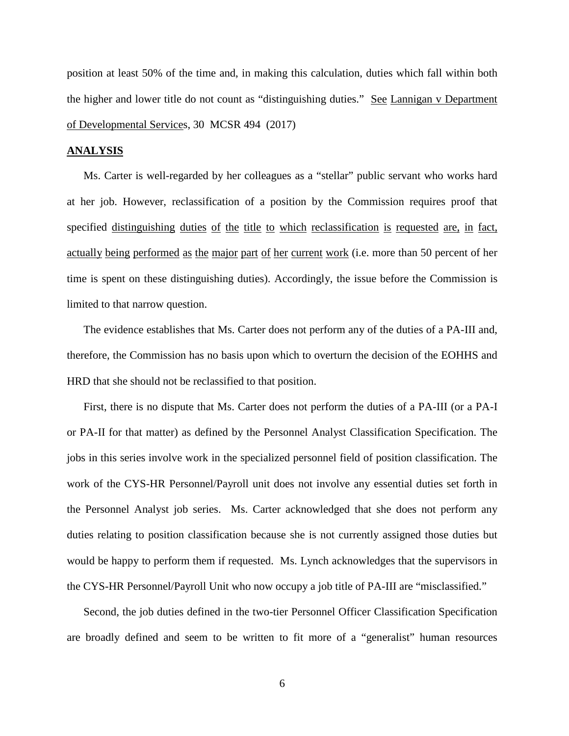position at least 50% of the time and, in making this calculation, duties which fall within both the higher and lower title do not count as "distinguishing duties." See Lannigan v Department of Developmental Services, 30 MCSR 494 (2017)

#### **ANALYSIS**

Ms. Carter is well-regarded by her colleagues as a "stellar" public servant who works hard at her job. However, reclassification of a position by the Commission requires proof that specified distinguishing duties of the title to which reclassification is requested are, in fact, actually being performed as the major part of her current work (i.e. more than 50 percent of her time is spent on these distinguishing duties). Accordingly, the issue before the Commission is limited to that narrow question.

The evidence establishes that Ms. Carter does not perform any of the duties of a PA-III and, therefore, the Commission has no basis upon which to overturn the decision of the EOHHS and HRD that she should not be reclassified to that position.

First, there is no dispute that Ms. Carter does not perform the duties of a PA-III (or a PA-I or PA-II for that matter) as defined by the Personnel Analyst Classification Specification. The jobs in this series involve work in the specialized personnel field of position classification. The work of the CYS-HR Personnel/Payroll unit does not involve any essential duties set forth in the Personnel Analyst job series. Ms. Carter acknowledged that she does not perform any duties relating to position classification because she is not currently assigned those duties but would be happy to perform them if requested. Ms. Lynch acknowledges that the supervisors in the CYS-HR Personnel/Payroll Unit who now occupy a job title of PA-III are "misclassified."

Second, the job duties defined in the two-tier Personnel Officer Classification Specification are broadly defined and seem to be written to fit more of a "generalist" human resources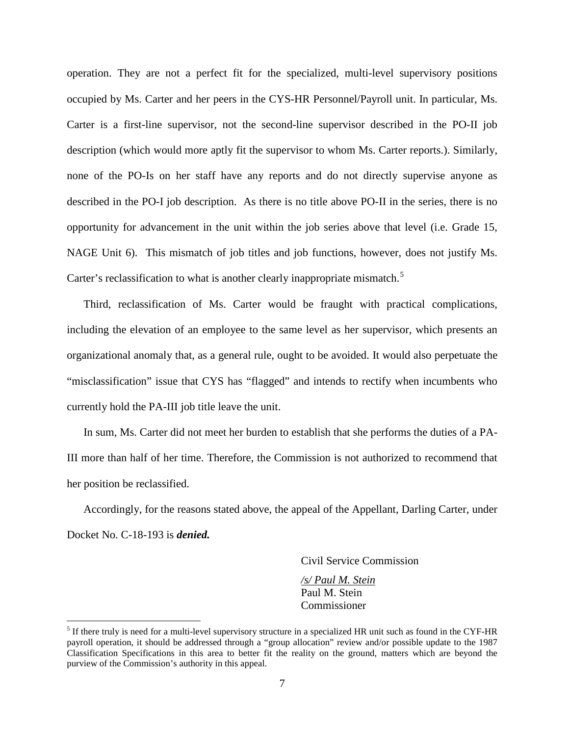operation. They are not a perfect fit for the specialized, multi-level supervisory positions occupied by Ms. Carter and her peers in the CYS-HR Personnel/Payroll unit. In particular, Ms. Carter is a first-line supervisor, not the second-line supervisor described in the PO-II job description (which would more aptly fit the supervisor to whom Ms. Carter reports.). Similarly, none of the PO-Is on her staff have any reports and do not directly supervise anyone as described in the PO-I job description. As there is no title above PO-II in the series, there is no opportunity for advancement in the unit within the job series above that level (i.e. Grade 15, NAGE Unit 6). This mismatch of job titles and job functions, however, does not justify Ms. Carter's reclassification to what is another clearly inappropriate mismatch.<sup>[5](#page-6-0)</sup>

Third, reclassification of Ms. Carter would be fraught with practical complications, including the elevation of an employee to the same level as her supervisor, which presents an organizational anomaly that, as a general rule, ought to be avoided. It would also perpetuate the "misclassification" issue that CYS has "flagged" and intends to rectify when incumbents who currently hold the PA-III job title leave the unit.

In sum, Ms. Carter did not meet her burden to establish that she performs the duties of a PA-III more than half of her time. Therefore, the Commission is not authorized to recommend that her position be reclassified.

Accordingly, for the reasons stated above, the appeal of the Appellant, Darling Carter, under Docket No. C-18-193 is *denied.*

Civil Service Commission

*/s/ Paul M. Stein* Paul M. Stein Commissioner

<span id="page-6-0"></span> $<sup>5</sup>$  If there truly is need for a multi-level supervisory structure in a specialized HR unit such as found in the CYF-HR</sup> payroll operation, it should be addressed through a "group allocation" review and/or possible update to the 1987 Classification Specifications in this area to better fit the reality on the ground, matters which are beyond the purview of the Commission's authority in this appeal.